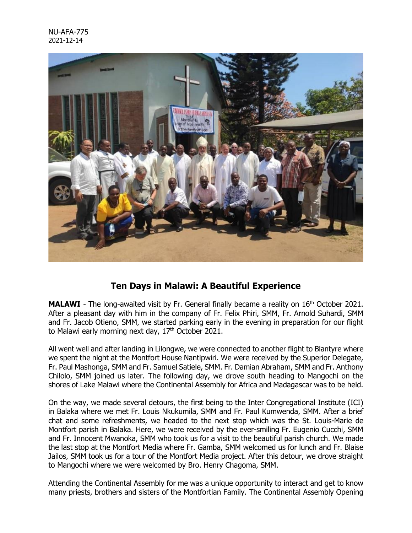

## **Ten Days in Malawi: A Beautiful Experience**

**MALAWI** - The long-awaited visit by Fr. General finally became a reality on 16<sup>th</sup> October 2021. After a pleasant day with him in the company of Fr. Felix Phiri, SMM, Fr. Arnold Suhardi, SMM and Fr. Jacob Otieno, SMM, we started parking early in the evening in preparation for our flight to Malawi early morning next day,  $17<sup>th</sup>$  October 2021.

All went well and after landing in Lilongwe, we were connected to another flight to Blantyre where we spent the night at the Montfort House Nantipwiri. We were received by the Superior Delegate, Fr. Paul Mashonga, SMM and Fr. Samuel Satiele, SMM. Fr. Damian Abraham, SMM and Fr. Anthony Chilolo, SMM joined us later. The following day, we drove south heading to Mangochi on the shores of Lake Malawi where the Continental Assembly for Africa and Madagascar was to be held.

On the way, we made several detours, the first being to the Inter Congregational Institute (ICI) in Balaka where we met Fr. Louis Nkukumila, SMM and Fr. Paul Kumwenda, SMM. After a brief chat and some refreshments, we headed to the next stop which was the St. Louis-Marie de Montfort parish in Balaka. Here, we were received by the ever-smiling Fr. Eugenio Cucchi, SMM and Fr. Innocent Mwanoka, SMM who took us for a visit to the beautiful parish church. We made the last stop at the Montfort Media where Fr. Gamba, SMM welcomed us for lunch and Fr. Blaise Jailos, SMM took us for a tour of the Montfort Media project. After this detour, we drove straight to Mangochi where we were welcomed by Bro. Henry Chagoma, SMM.

Attending the Continental Assembly for me was a unique opportunity to interact and get to know many priests, brothers and sisters of the Montfortian Family. The Continental Assembly Opening